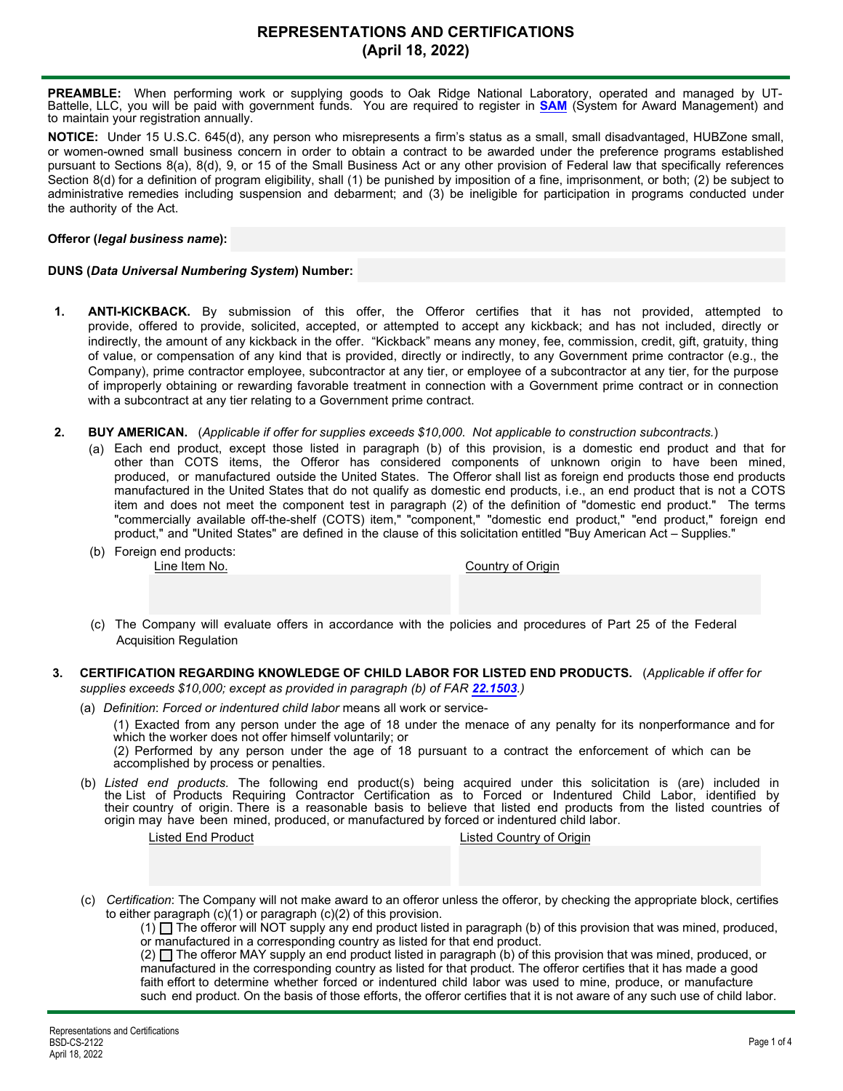# **REPRESENTATIONS AND CERTIFICATIONS (April 18, 2022)**

**PREAMBLE:** When performing work or supplying goods to Oak Ridge National Laboratory, operated and managed by UT-Battelle, LLC, you will be paid with government funds. You are required to register in **[SAM](https://www.sam.gov/SAM/)** (System for Award Management) and to maintain your registration annually.

**NOTICE:** Under 15 U.S.C. 645(d), any person who misrepresents a firm's status as a small, small disadvantaged, HUBZone small, or women-owned small business concern in order to obtain a contract to be awarded under the preference programs established pursuant to Sections 8(a), 8(d), 9, or 15 of the Small Business Act or any other provision of Federal law that specifically references Section 8(d) for a definition of program eligibility, shall (1) be punished by imposition of a fine, imprisonment, or both; (2) be subject to administrative remedies including suspension and debarment; and (3) be ineligible for participation in programs conducted under the authority of the Act.

## **Offeror (***legal business name***):**

## **DUNS (***Data Universal Numbering System***) Number:**

- **1. ANTI-KICKBACK.** By submission of this offer, the Offeror certifies that it has not provided, attempted to provide, offered to provide, solicited, accepted, or attempted to accept any kickback; and has not included, directly or indirectly, the amount of any kickback in the offer. "Kickback" means any money, fee, commission, credit, gift, gratuity, thing of value, or compensation of any kind that is provided, directly or indirectly, to any Government prime contractor (e.g., the Company), prime contractor employee, subcontractor at any tier, or employee of a subcontractor at any tier, for the purpose of improperly obtaining or rewarding favorable treatment in connection with a Government prime contract or in connection with a subcontract at any tier relating to a Government prime contract.
- **2. BUY AMERICAN.** (*Applicable if offer for supplies exceeds \$10,000*. *Not applicable to construction subcontracts.*)
	- Each end product, except those listed in paragraph (b) of this provision, is a domestic end product and that for (a) other than COTS items, the Offeror has considered components of unknown origin to have been mined, produced, or manufactured outside the United States. The Offeror shall list as foreign end products those end products manufactured in the United States that do not qualify as domestic end products, i.e., an end product that is not a COTS item and does not meet the component test in paragraph (2) of the definition of "domestic end product." The terms "commercially available off-the-shelf (COTS) item," "component," "domestic end product," "end product," foreign end product," and "United States" are defined in the clause of this solicitation entitled "Buy American Act – Supplies."
	- (b) Foreign end products:

Country of Origin

- (c) The Company will evaluate offers in accordance with the policies and procedures of Part 25 of the Federal Acquisition Regulation
- **3. CERTIFICATION REGARDING KNOWLEDGE OF CHILD LABOR FOR LISTED END PRODUCTS.** (*Applicable if offer for supplies exceeds \$10,000; except as provided in paragraph (b) of FAR [22.1503](https://www.acquisition.gov/far/22.1503#FAR_22_1503).)*
	- (a) *Definition*: *Forced or indentured child labor* means all work or service-

(1) Exacted from any person under the age of 18 under the menace of any penalty for its nonperformance and for which the worker does not offer himself voluntarily; or

(2) Performed by any person under the age of 18 pursuant to a contract the enforcement of which can be accomplished by process or penalties.

*Listed end products.* The following end product(s) being acquired under this solicitation is (are) included in (b) the List of Products Requiring Contractor Certification as to Forced or Indentured Child Labor, identified by their country of origin. There is a reasonable basis to believe that listed end products from the listed countries of origin may have been mined, produced, or manufactured by forced or indentured child labor.

Listed End Product Listed Country of Origin

(c) *Certification*: The Company will not make award to an offeror unless the offeror, by checking the appropriate block, certifies to either paragraph (c)(1) or paragraph (c)(2) of this provision.

 $(1)$  The offeror will NOT supply any end product listed in paragraph (b) of this provision that was mined, produced, or manufactured in a corresponding country as listed for that end product.

 $(2)$   $\square$  The offeror MAY supply an end product listed in paragraph (b) of this provision that was mined, produced, or manufactured in the corresponding country as listed for that product. The offeror certifies that it has made a good faith effort to determine whether forced or indentured child labor was used to mine, produce, or manufacture such end product. On the basis of those efforts, the offeror certifies that it is not aware of any such use of child labor.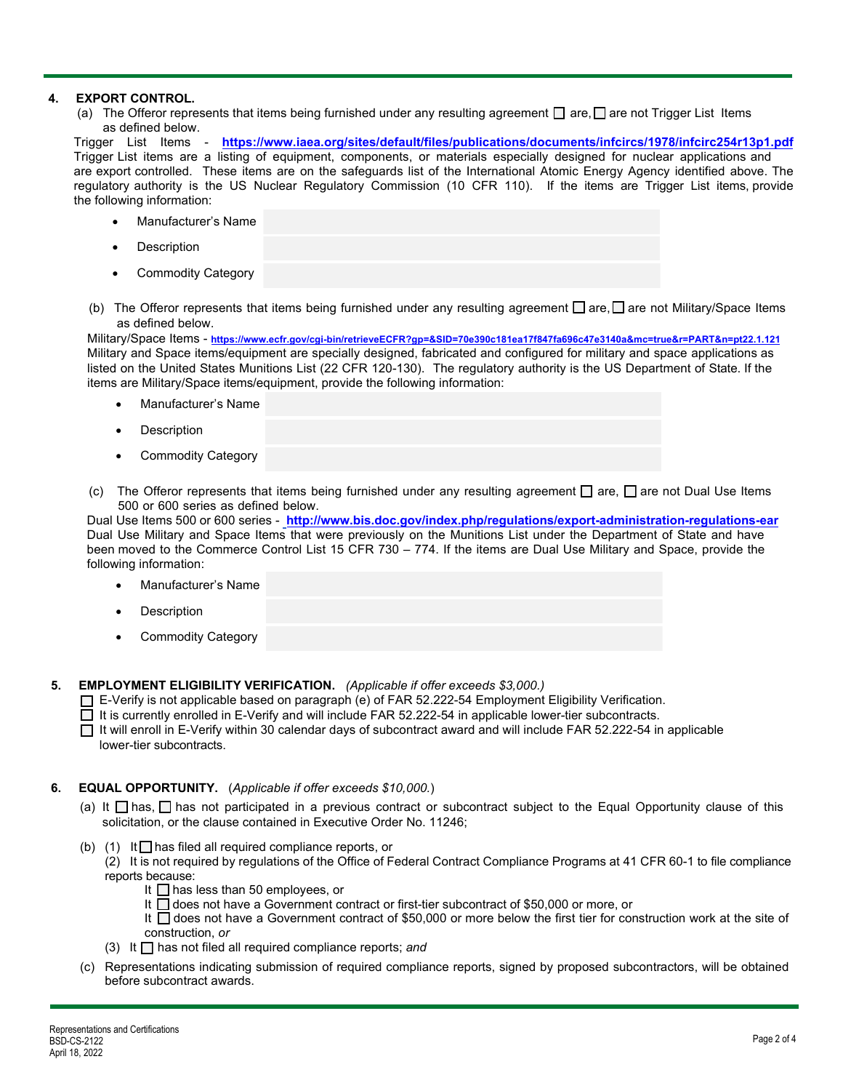## **4. EXPORT CONTROL.**

(a)  $\,$  The Offeror represents that items being furnished under any resulting agreement  $\Box$  are,  $\Box$  are not Trigger List  $\,$  Items as defined below.

Trigger List Items - **<https://www.iaea.org/sites/default/files/publications/documents/infcircs/1978/infcirc254r13p1.pdf>** Trigger List items are a listing of equipment, components, or materials especially designed for nuclear applications and are export controlled. These items are on the safeguards list of the International Atomic Energy Agency identified above. The regulatory authority is the US Nuclear Regulatory Commission (10 CFR 110). If the items are Trigger List items, provide the following information:

- Manufacturer's Name
- **Description**
- Commodity Category
- (b) The Offeror represents that items being furnished under any resulting agreement  $\Box$  are,  $\Box$  are not Military/Space Items as defined below.

Military/Space Items - **<https://www.ecfr.gov/cgi-bin/retrieveECFR?gp=&SID=70e390c181ea17f847fa696c47e3140a&mc=true&r=PART&n=pt22.1.121>** Military and Space items/equipment are specially designed, fabricated and configured for military and space applications as listed on the United States Munitions List (22 CFR 120-130). The regulatory authority is the US Department of State. If the items are Military/Space items/equipment, provide the following information:

- Manufacturer's Name
- **Description**
- Commodity Category
- (c) The Offeror represents that items being furnished under any resulting agreement  $\Box$  are,  $\Box$  are not Dual Use Items 500 or 600 series as defined below.

Dual Use Items 500 or 600 series - **http://www.bis.doc.gov/index.php/regulations/export-administration-regulations-ear** Dual Use Military and Space Items that were previously on the Munitions List under the Department of State and have been moved to the Commerce Control List 15 CFR 730 – 774. If the items are Dual Use Military and Space, provide the following information:

- Manufacturer's Name
- **Description**
- Commodity Category

**5. EMPLOYMENT ELIGIBILITY VERIFICATION.** *(Applicable if offer exceeds \$3,000.)*

E-Verify is not applicable based on paragraph (e) of FAR 52.222-54 Employment Eligibility Verification.

 $\Box$  It is currently enrolled in E-Verify and will include FAR 52.222-54 in applicable lower-tier subcontracts.

It will enroll in E-Verify within 30 calendar days of subcontract award and will include FAR 52.222-54 in applicable lower-tier subcontracts.

## **6. EQUAL OPPORTUNITY.** (*Applicable if offer exceeds \$10,000.*)

- (a) It  $\Box$  has,  $\Box$  has not participated in a previous contract or subcontract subject to the Equal Opportunity clause of this solicitation, or the clause contained in Executive Order No. 11246;
- (b) (1) It  $\Box$  has filed all required compliance reports, or

(2) It is not required by regulations of the Office of Federal Contract Compliance Programs at 41 CFR 60-1 to file compliance reports because:

- It  $\Box$  has less than 50 employees, or
- It □ does not have a Government contract or first-tier subcontract of \$50,000 or more, or

It □ does not have a Government contract of \$50,000 or more below the first tier for construction work at the site of construction, *or*

- (3) It has not filed all required compliance reports; *and*
- (c) Representations indicating submission of required compliance reports, signed by proposed subcontractors, will be obtained before subcontract awards.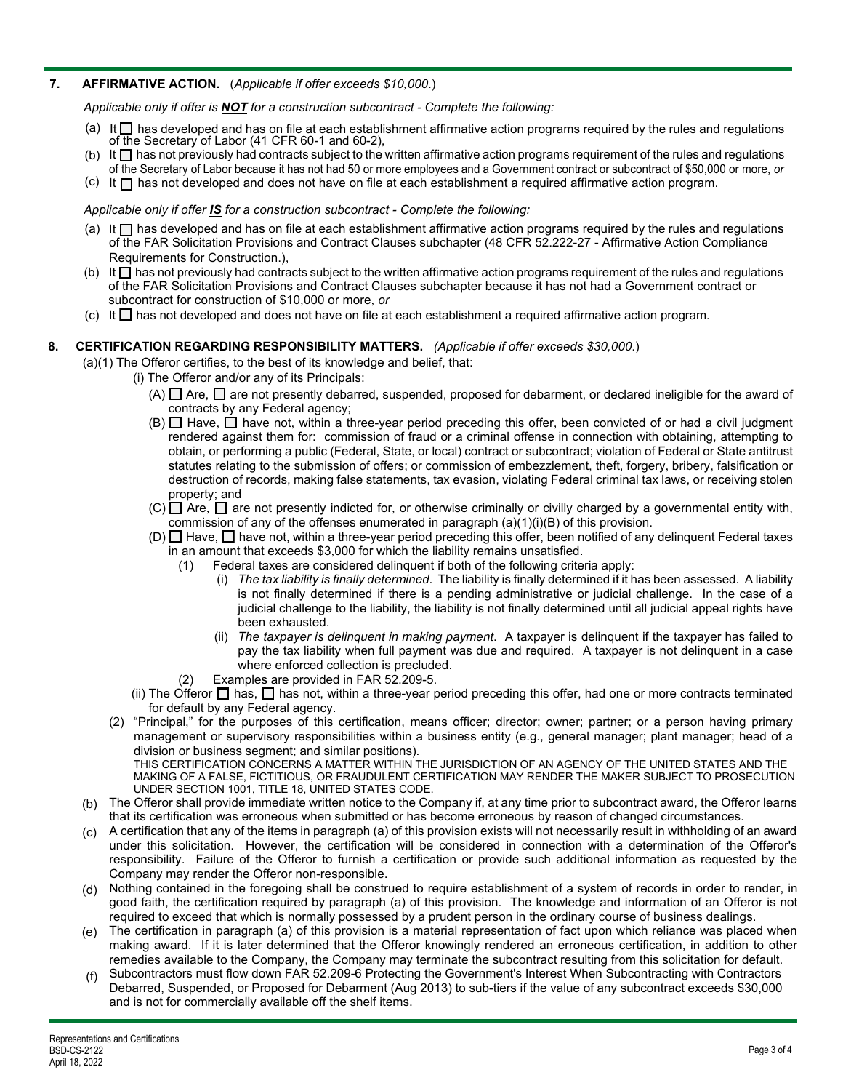## **7. AFFIRMATIVE ACTION.** (*Applicable if offer exceeds \$10,000*.)

*Applicable only if offer is NOT for a construction subcontract - Complete the following:*

- (a) It  $\Box$  has developed and has on file at each establishment affirmative action programs required by the rules and regulations of the Secretary of Labor (41 CFR 60-1 and 60-2),
- (b) It  $\Box$  has not previously had contracts subject to the written affirmative action programs requirement of the rules and regulations of the Secretary of Labor because it has not had 50 or more employees and a Government contract or subcontract of \$50,000 or more, *or*
- (c) It  $\square$  has not developed and does not have on file at each establishment a required affirmative action program.

#### *Applicable only if offer IS for a construction subcontract - Complete the following:*

- (a) It  $\Box$  has developed and has on file at each establishment affirmative action programs required by the rules and regulations of the FAR Solicitation Provisions and Contract Clauses subchapter (48 CFR 52.222-27 - Affirmative Action Compliance Requirements for Construction.),
- (b) It  $\Box$  has not previously had contracts subject to the written affirmative action programs requirement of the rules and regulations of the FAR Solicitation Provisions and Contract Clauses subchapter because it has not had a Government contract or subcontract for construction of \$10,000 or more, *or*
- $(c)$  It  $\Box$  has not developed and does not have on file at each establishment a required affirmative action program.

### **8. CERTIFICATION REGARDING RESPONSIBILITY MATTERS.** *(Applicable if offer exceeds \$30,000*.)

(a)(1) The Offeror certifies, to the best of its knowledge and belief, that:

- (i) The Offeror and/or any of its Principals:
	- (A)  $\Box$  Are,  $\Box$  are not presently debarred, suspended, proposed for debarment, or declared ineligible for the award of contracts by any Federal agency;
	- $(B)$  Have,  $\Box$  have not, within a three-year period preceding this offer, been convicted of or had a civil judgment rendered against them for: commission of fraud or a criminal offense in connection with obtaining, attempting to obtain, or performing a public (Federal, State, or local) contract or subcontract; violation of Federal or State antitrust statutes relating to the submission of offers; or commission of embezzlement, theft, forgery, bribery, falsification or destruction of records, making false statements, tax evasion, violating Federal criminal tax laws, or receiving stolen property; and
	- $(C) \Box$  Are,  $\Box$  are not presently indicted for, or otherwise criminally or civilly charged by a governmental entity with, commission of any of the offenses enumerated in paragraph  $(a)(1)(i)(B)$  of this provision.
	- (D)  $\Box$  Have,  $\Box$  have not, within a three-year period preceding this offer, been notified of any delinquent Federal taxes in an amount that exceeds \$3,000 for which the liability remains unsatisfied.
		- (1) Federal taxes are considered delinquent if both of the following criteria apply:
			- (i) *The tax liability is finally determined*. The liability is finally determined if it has been assessed. A liability is not finally determined if there is a pending administrative or judicial challenge. In the case of a judicial challenge to the liability, the liability is not finally determined until all judicial appeal rights have been exhausted.
			- (ii) *The taxpayer is delinquent in making payment*. A taxpayer is delinquent if the taxpayer has failed to pay the tax liability when full payment was due and required. A taxpayer is not delinquent in a case where enforced collection is precluded.
		- (2) Examples are provided in FAR 52.209-5.
	- (ii) The Offeror  $\Box$  has,  $\Box$  has not, within a three-year period preceding this offer, had one or more contracts terminated for default by any Federal agency.
- (2) "Principal," for the purposes of this certification, means officer; director; owner; partner; or a person having primary management or supervisory responsibilities within a business entity (e.g., general manager; plant manager; head of a division or business segment; and similar positions). THIS CERTIFICATION CONCERNS A MATTER WITHIN THE JURISDICTION OF AN AGENCY OF THE UNITED STATES AND THE

MAKING OF A FALSE, FICTITIOUS, OR FRAUDULENT CERTIFICATION MAY RENDER THE MAKER SUBJECT TO PROSECUTION UNDER SECTION 1001, TITLE 18, UNITED STATES CODE.

- The Offeror shall provide immediate written notice to the Company if, at any time prior to subcontract award, the Offeror learns (b) that its certification was erroneous when submitted or has become erroneous by reason of changed circumstances.
- A certification that any of the items in paragraph (a) of this provision exists will not necessarily result in withholding of an award (c) under this solicitation. However, the certification will be considered in connection with a determination of the Offeror's responsibility. Failure of the Offeror to furnish a certification or provide such additional information as requested by the Company may render the Offeror non-responsible.
- Nothing contained in the foregoing shall be construed to require establishment of a system of records in order to render, in (d) good faith, the certification required by paragraph (a) of this provision. The knowledge and information of an Offeror is not required to exceed that which is normally possessed by a prudent person in the ordinary course of business dealings.
- The certification in paragraph (a) of this provision is a material representation of fact upon which reliance was placed when (e) making award. If it is later determined that the Offeror knowingly rendered an erroneous certification, in addition to other remedies available to the Company, the Company may terminate the subcontract resulting from this solicitation for default.
- Subcontractors must flow down FAR 52.209-6 Protecting the Government's Interest When Subcontracting with Contractors Debarred, Suspended, or Proposed for Debarment (Aug 2013) to sub-tiers if the value of any subcontract exceeds \$30,000 and is not for commercially available off the shelf items. (f)